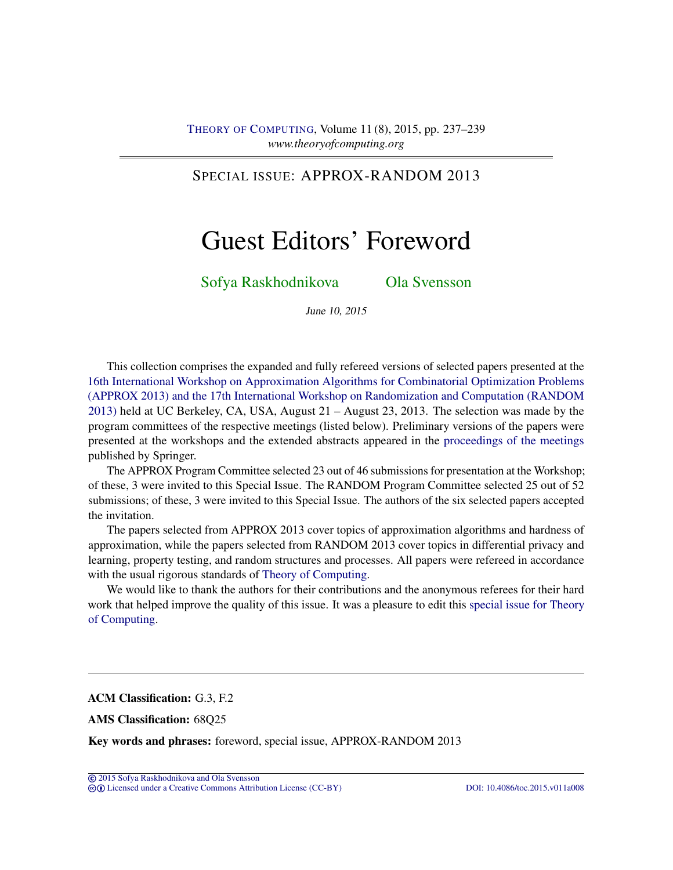# SPECIAL ISSUE: APPROX-RANDOM 2013

# Guest Editors' Foreword

## [Sofya Raskhodnikova](#page-2-0) [Ola Svensson](#page-2-1)

June 10, 2015

This collection comprises the expanded and fully refereed versions of selected papers presented at the [16th International Workshop on Approximation Algorithms for Combinatorial Optimization Problems](http://cui.unige.ch/tcs/random-approx/2013/) [\(APPROX 2013\) and the 17th International Workshop on Randomization and Computation \(RANDOM](http://cui.unige.ch/tcs/random-approx/2013/) [2013\)](http://cui.unige.ch/tcs/random-approx/2013/) held at UC Berkeley, CA, USA, August 21 – August 23, 2013. The selection was made by the program committees of the respective meetings (listed below). Preliminary versions of the papers were presented at the workshops and the extended abstracts appeared in the [proceedings of the meetings](http://dx.doi.org/10.1007/978-3-642-40328-6) published by Springer.

The APPROX Program Committee selected 23 out of 46 submissions for presentation at the Workshop; of these, 3 were invited to this Special Issue. The RANDOM Program Committee selected 25 out of 52 submissions; of these, 3 were invited to this Special Issue. The authors of the six selected papers accepted the invitation.

The papers selected from APPROX 2013 cover topics of approximation algorithms and hardness of approximation, while the papers selected from RANDOM 2013 cover topics in differential privacy and learning, property testing, and random structures and processes. All papers were refereed in accordance with the usual rigorous standards of [Theory of Computing.](http://dx.doi.org/10.4086/toc)

We would like to thank the authors for their contributions and the anonymous referees for their hard work that helped improve the quality of this issue. It was a pleasure to edit this [special issue for Theory](http://theoryofcomputing.org/categories/APPROX-RANDOM_2013_special_issue.html) [of Computing.](http://theoryofcomputing.org/categories/APPROX-RANDOM_2013_special_issue.html)

ACM Classification: G.3, F.2

AMS Classification: 68Q25

Key words and phrases: foreword, special issue, APPROX-RANDOM 2013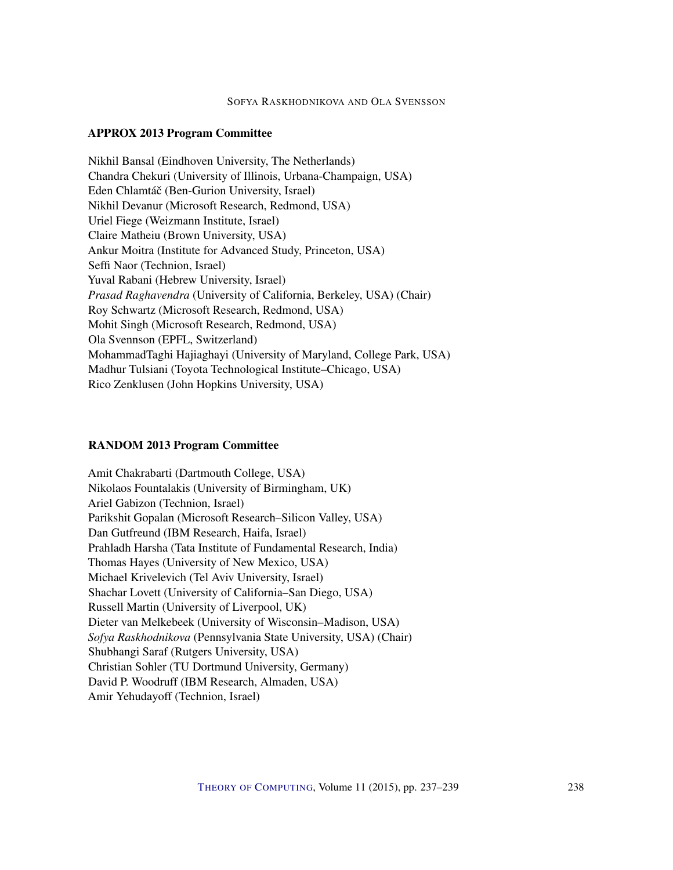#### SOFYA RASKHODNIKOVA AND OLA SVENSSON

## APPROX 2013 Program Committee

Nikhil Bansal (Eindhoven University, The Netherlands) Chandra Chekuri (University of Illinois, Urbana-Champaign, USA) Eden Chlamtáč (Ben-Gurion University, Israel) Nikhil Devanur (Microsoft Research, Redmond, USA) Uriel Fiege (Weizmann Institute, Israel) Claire Matheiu (Brown University, USA) Ankur Moitra (Institute for Advanced Study, Princeton, USA) Seffi Naor (Technion, Israel) Yuval Rabani (Hebrew University, Israel) *Prasad Raghavendra* (University of California, Berkeley, USA) (Chair) Roy Schwartz (Microsoft Research, Redmond, USA) Mohit Singh (Microsoft Research, Redmond, USA) Ola Svennson (EPFL, Switzerland) MohammadTaghi Hajiaghayi (University of Maryland, College Park, USA) Madhur Tulsiani (Toyota Technological Institute–Chicago, USA) Rico Zenklusen (John Hopkins University, USA)

#### RANDOM 2013 Program Committee

Amit Chakrabarti (Dartmouth College, USA) Nikolaos Fountalakis (University of Birmingham, UK) Ariel Gabizon (Technion, Israel) Parikshit Gopalan (Microsoft Research–Silicon Valley, USA) Dan Gutfreund (IBM Research, Haifa, Israel) Prahladh Harsha (Tata Institute of Fundamental Research, India) Thomas Hayes (University of New Mexico, USA) Michael Krivelevich (Tel Aviv University, Israel) Shachar Lovett (University of California–San Diego, USA) Russell Martin (University of Liverpool, UK) Dieter van Melkebeek (University of Wisconsin–Madison, USA) *Sofya Raskhodnikova* (Pennsylvania State University, USA) (Chair) Shubhangi Saraf (Rutgers University, USA) Christian Sohler (TU Dortmund University, Germany) David P. Woodruff (IBM Research, Almaden, USA) Amir Yehudayoff (Technion, Israel)